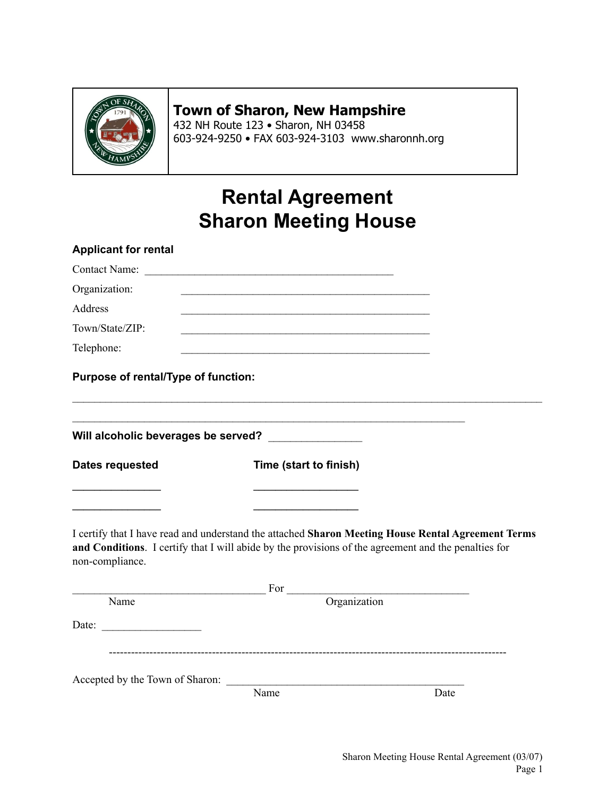

### **Town of Sharon, New Hampshire**

432 NH Route 123 • Sharon, NH 03458 603-924-9250 • FAX 603-924-3103 www.sharonnh.org

## **Rental Agreement Sharon Meeting House**

| <b>Applicant for rental</b>         |                                                                                                                                                                                                                                                                                                                        |      |
|-------------------------------------|------------------------------------------------------------------------------------------------------------------------------------------------------------------------------------------------------------------------------------------------------------------------------------------------------------------------|------|
|                                     |                                                                                                                                                                                                                                                                                                                        |      |
| Organization:                       |                                                                                                                                                                                                                                                                                                                        |      |
| Address                             |                                                                                                                                                                                                                                                                                                                        |      |
| Town/State/ZIP:                     |                                                                                                                                                                                                                                                                                                                        |      |
| Telephone:                          |                                                                                                                                                                                                                                                                                                                        |      |
| Purpose of rental/Type of function: |                                                                                                                                                                                                                                                                                                                        |      |
|                                     | Will alcoholic beverages be served? ______________                                                                                                                                                                                                                                                                     |      |
| <b>Dates requested</b>              | Time (start to finish)                                                                                                                                                                                                                                                                                                 |      |
|                                     |                                                                                                                                                                                                                                                                                                                        |      |
| non-compliance.                     | I certify that I have read and understand the attached Sharon Meeting House Rental Agreement Terms<br>and Conditions. I certify that I will abide by the provisions of the agreement and the penalties for                                                                                                             |      |
|                                     | $\frac{1}{2}$ For $\frac{1}{2}$ $\frac{1}{2}$ $\frac{1}{2}$ $\frac{1}{2}$ $\frac{1}{2}$ $\frac{1}{2}$ $\frac{1}{2}$ $\frac{1}{2}$ $\frac{1}{2}$ $\frac{1}{2}$ $\frac{1}{2}$ $\frac{1}{2}$ $\frac{1}{2}$ $\frac{1}{2}$ $\frac{1}{2}$ $\frac{1}{2}$ $\frac{1}{2}$ $\frac{1}{2}$ $\frac{1}{2}$ $\frac{1}{2}$ $\frac{1}{2$ |      |
| Name                                | Organization                                                                                                                                                                                                                                                                                                           |      |
| Date:                               |                                                                                                                                                                                                                                                                                                                        |      |
| Accepted by the Town of Sharon:     |                                                                                                                                                                                                                                                                                                                        |      |
|                                     | Name                                                                                                                                                                                                                                                                                                                   | Date |